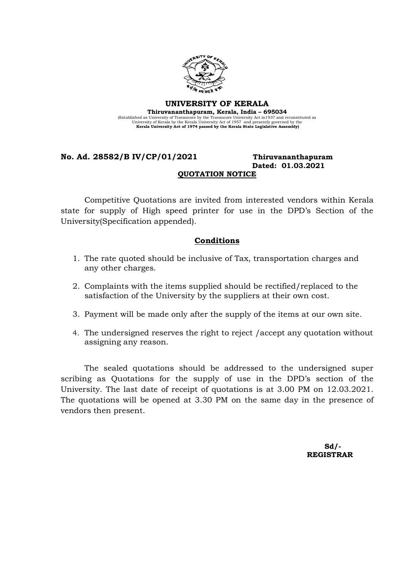

## UNIVERSITY OF KERALA Thiruvananthapuram, Kerala, India – 695034 (Established as University of Travancore by the Travancore University Act in 1937 and reconstituted as<br>University of Kerala by the Kerala University Act of 1957 and presently governed by the<br>Kerala University Act of 1974 p

## No. Ad. 28582/B IV/CP/01/2021 Thiruvananthapuram Dated: 01.03.2021 QUOTATION NOTICE

Competitive Quotations are invited from interested vendors within Kerala state for supply of High speed printer for use in the DPD's Section of the University(Specification appended).

## Conditions

- 1. The rate quoted should be inclusive of Tax, transportation charges and any other charges.
- 2. Complaints with the items supplied should be rectified/replaced to the satisfaction of the University by the suppliers at their own cost.
- 3. Payment will be made only after the supply of the items at our own site.
- 4. The undersigned reserves the right to reject /accept any quotation without assigning any reason.

The sealed quotations should be addressed to the undersigned super scribing as Quotations for the supply of use in the DPD's section of the University. The last date of receipt of quotations is at 3.00 PM on 12.03.2021. The quotations will be opened at 3.30 PM on the same day in the presence of vendors then present.

 $Sd/$ -REGISTRAR